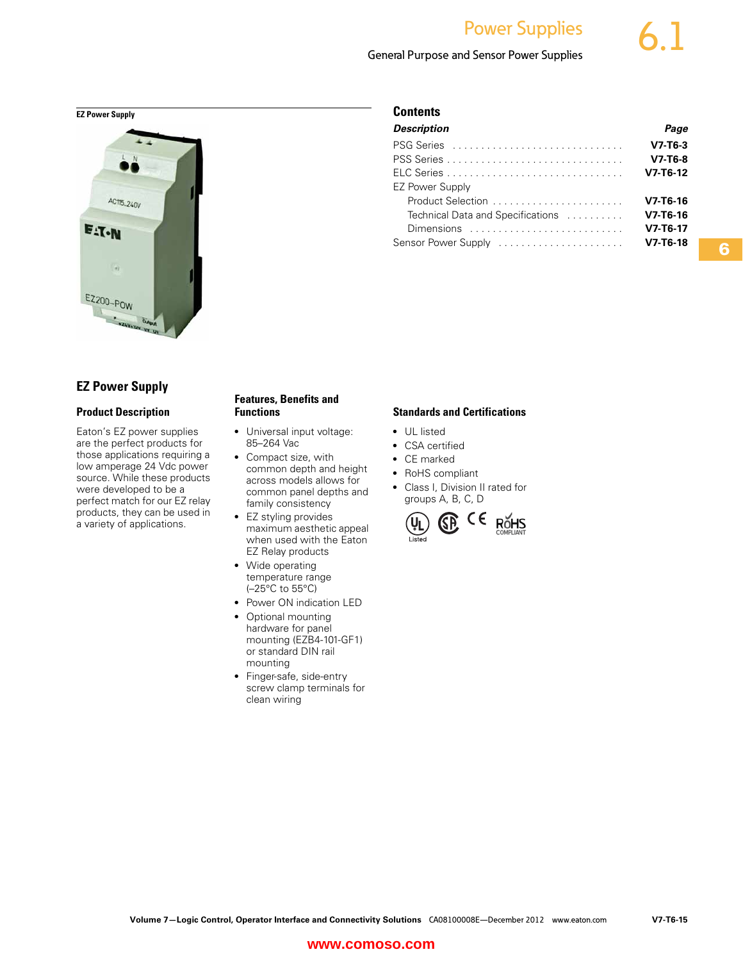General Purpose and Sensor Power Supplies



## **EZ Power Supply**

### **Product Description**

Eaton's EZ power supplies are the perfect products for those applications requiring a low amperage 24 Vdc power source. While these products were developed to be a perfect match for our EZ relay products, they can be used in a variety of applications.

### **Features, Benefits and Functions**

- Universal input voltage: 85–264 Vac
- Compact size, with common depth and height across models allows for common panel depths and family consistency
- EZ styling provides maximum aesthetic appeal when used with the Eaton EZ Relay products
- Wide operating temperature range (–25°C to 55°C)
- Power ON indication LED
- Optional mounting hardware for panel mounting (EZB4-101-GF1) or standard DIN rail mounting
- Finger-safe, side-entry screw clamp terminals for clean wiring

### **EZ Power Supply Contents**

| <b>Description</b>                | Page       |
|-----------------------------------|------------|
|                                   | $V7-T6-3$  |
|                                   | $V7-T6-8$  |
|                                   | $V7-T6-12$ |
| <b>EZ Power Supply</b>            |            |
|                                   | $V7-T6-16$ |
| Technical Data and Specifications | $V7-T6-16$ |
| Dimensions                        | $V7-T6-17$ |
| Sensor Power Supply               | $V7-T6-18$ |
|                                   |            |

### **Standards and Certifications**

- UL listed
- CSA certified
- CE marked
- RoHS compliant
- Class I, Division II rated for groups A, B, C, D

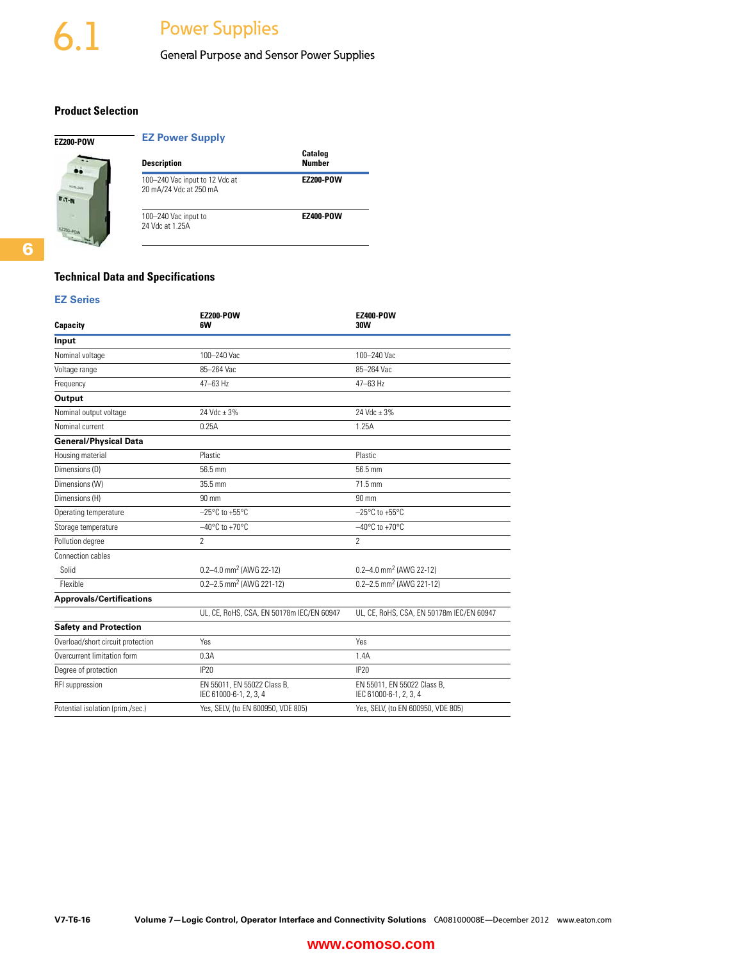# 6.1 Power Supplies

**EZ Power Supply** 

General Purpose and Sensor Power Supplies

### **Product Selection**



| <b>Description</b>                                       | <b>Catalog</b><br><b>Number</b> |
|----------------------------------------------------------|---------------------------------|
| 100-240 Vac input to 12 Vdc at<br>20 mA/24 Vdc at 250 mA | <b>EZ200-POW</b>                |
| 100-240 Vac input to<br>24 Vdc at 1.25A                  | <b>EZ400-POW</b>                |

### **Technical Data and Specifications**

### **EZ Series**

**6**

| Capacity                          | <b>EZ200-POW</b><br>6W                                | <b>EZ400-POW</b><br>30W                               |
|-----------------------------------|-------------------------------------------------------|-------------------------------------------------------|
| Input                             |                                                       |                                                       |
| Nominal voltage                   | 100-240 Vac                                           | 100-240 Vac                                           |
| Voltage range                     | 85-264 Vac                                            | 85-264 Vac                                            |
| Frequency                         | 47-63 Hz                                              | 47-63 Hz                                              |
| <b>Output</b>                     |                                                       |                                                       |
| Nominal output voltage            | 24 Vdc ± 3%                                           | 24 Vdc $\pm$ 3%                                       |
| Nominal current                   | 0.25A                                                 | 1.25A                                                 |
| <b>General/Physical Data</b>      |                                                       |                                                       |
| Housing material                  | Plastic                                               | Plastic                                               |
| Dimensions (D)                    | 56.5 mm                                               | 56.5 mm                                               |
| Dimensions (W)                    | 35.5 mm                                               | 71.5 mm                                               |
| Dimensions (H)                    | 90 mm                                                 | $90 \text{ mm}$                                       |
| Operating temperature             | $-25^{\circ}$ C to +55 $^{\circ}$ C                   | $-25^{\circ}$ C to +55 $^{\circ}$ C                   |
| Storage temperature               | $-40^{\circ}$ C to +70 $^{\circ}$ C                   | $-40^{\circ}$ C to +70 $^{\circ}$ C                   |
| Pollution degree                  | 2                                                     | $\overline{2}$                                        |
| Connection cables                 |                                                       |                                                       |
| Solid                             | $0.2 - 4.0$ mm <sup>2</sup> (AWG 22-12)               | $0.2 - 4.0$ mm <sup>2</sup> (AWG 22-12)               |
| Flexible                          | 0.2-2.5 mm <sup>2</sup> (AWG 221-12)                  | 0.2-2.5 mm <sup>2</sup> (AWG 221-12)                  |
| <b>Approvals/Certifications</b>   |                                                       |                                                       |
|                                   | UL, CE, RoHS, CSA, EN 50178m IEC/EN 60947             | UL, CE, RoHS, CSA, EN 50178m IEC/EN 60947             |
| <b>Safety and Protection</b>      |                                                       |                                                       |
| Overload/short circuit protection | Yes                                                   | Yes                                                   |
| Overcurrent limitation form       | 0.3A                                                  | 1.4A                                                  |
| Degree of protection              | <b>IP20</b>                                           | IP <sub>20</sub>                                      |
| RFI suppression                   | EN 55011, EN 55022 Class B,<br>IEC 61000-6-1, 2, 3, 4 | EN 55011, EN 55022 Class B,<br>IEC 61000-6-1, 2, 3, 4 |
| Potential isolation (prim./sec.)  | Yes, SELV, (to EN 600950, VDE 805)                    | Yes, SELV, (to EN 600950, VDE 805)                    |